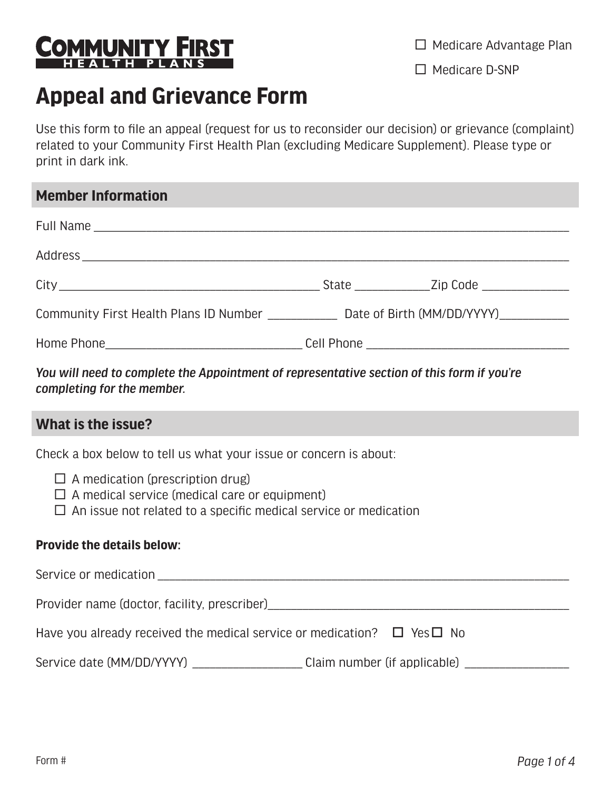

 $\Box$  Medicare Advantage Plan

 $\Box$  Medicare D-SNP

# **Appeal and Grievance Form**

Use this form to file an appeal (request for us to reconsider our decision) or grievance (complaint) related to your Community First Health Plan (excluding Medicare Supplement). Please type or print in dark ink.

# **Member Information**

| You will need to complete the Annointment of representative section of this form if you're |  |  |  |  |
|--------------------------------------------------------------------------------------------|--|--|--|--|

*You will need to complete the Appointment of representative section of this form if you're completing for the member.* 

# **What is the issue?**

Check a box below to tell us what your issue or concern is about:

- $\Box$  A medication (prescription drug)
- $\Box$  A medical service (medical care or equipment)
- $\Box$  An issue not related to a specific medical service or medication

#### **Provide the details below:**

| Service or medication                                                             |                                     |  |
|-----------------------------------------------------------------------------------|-------------------------------------|--|
| Provider name (doctor, facility, prescriber)                                      |                                     |  |
| Have you already received the medical service or medication? $\Box$ Yes $\Box$ No |                                     |  |
| Service date (MM/DD/YYYY)                                                         | Claim number (if applicable) $\_\_$ |  |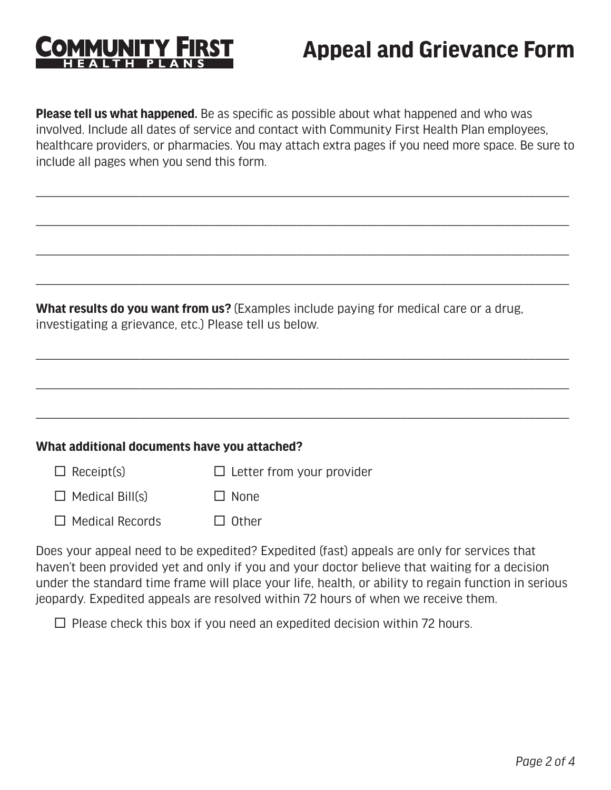# **MUNITY**

# **Appeal and Grievance Form**

**Please tell us what happened.** Be as specific as possible about what happened and who was involved. Include all dates of service and contact with Community First Health Plan employees, healthcare providers, or pharmacies. You may attach extra pages if you need more space. Be sure to include all pages when you send this form.

\_\_\_\_\_\_\_\_\_\_\_\_\_\_\_\_\_\_\_\_\_\_\_\_\_\_\_\_\_\_\_\_\_\_\_\_\_\_\_\_\_\_\_\_\_\_\_\_\_\_\_\_\_\_\_\_\_\_\_\_\_\_\_\_\_\_\_\_\_\_\_\_\_\_\_\_\_\_\_\_\_\_\_\_\_\_\_\_\_\_\_\_

\_\_\_\_\_\_\_\_\_\_\_\_\_\_\_\_\_\_\_\_\_\_\_\_\_\_\_\_\_\_\_\_\_\_\_\_\_\_\_\_\_\_\_\_\_\_\_\_\_\_\_\_\_\_\_\_\_\_\_\_\_\_\_\_\_\_\_\_\_\_\_\_\_\_\_\_\_\_\_\_\_\_\_\_\_\_\_\_\_\_\_\_

\_\_\_\_\_\_\_\_\_\_\_\_\_\_\_\_\_\_\_\_\_\_\_\_\_\_\_\_\_\_\_\_\_\_\_\_\_\_\_\_\_\_\_\_\_\_\_\_\_\_\_\_\_\_\_\_\_\_\_\_\_\_\_\_\_\_\_\_\_\_\_\_\_\_\_\_\_\_\_\_\_\_\_\_\_\_\_\_\_\_\_\_

\_\_\_\_\_\_\_\_\_\_\_\_\_\_\_\_\_\_\_\_\_\_\_\_\_\_\_\_\_\_\_\_\_\_\_\_\_\_\_\_\_\_\_\_\_\_\_\_\_\_\_\_\_\_\_\_\_\_\_\_\_\_\_\_\_\_\_\_\_\_\_\_\_\_\_\_\_\_\_\_\_\_\_\_\_\_\_\_\_\_\_\_

\_\_\_\_\_\_\_\_\_\_\_\_\_\_\_\_\_\_\_\_\_\_\_\_\_\_\_\_\_\_\_\_\_\_\_\_\_\_\_\_\_\_\_\_\_\_\_\_\_\_\_\_\_\_\_\_\_\_\_\_\_\_\_\_\_\_\_\_\_\_\_\_\_\_\_\_\_\_\_\_\_\_\_\_\_\_\_\_\_\_\_\_

\_\_\_\_\_\_\_\_\_\_\_\_\_\_\_\_\_\_\_\_\_\_\_\_\_\_\_\_\_\_\_\_\_\_\_\_\_\_\_\_\_\_\_\_\_\_\_\_\_\_\_\_\_\_\_\_\_\_\_\_\_\_\_\_\_\_\_\_\_\_\_\_\_\_\_\_\_\_\_\_\_\_\_\_\_\_\_\_\_\_\_\_

\_\_\_\_\_\_\_\_\_\_\_\_\_\_\_\_\_\_\_\_\_\_\_\_\_\_\_\_\_\_\_\_\_\_\_\_\_\_\_\_\_\_\_\_\_\_\_\_\_\_\_\_\_\_\_\_\_\_\_\_\_\_\_\_\_\_\_\_\_\_\_\_\_\_\_\_\_\_\_\_\_\_\_\_\_\_\_\_\_\_\_\_

**What results do you want from us?** (Examples include paying for medical care or a drug, investigating a grievance, etc.) Please tell us below.

| What additional documents have you attached? |                                  |  |
|----------------------------------------------|----------------------------------|--|
| $\Box$ Receipt(s)                            | $\Box$ Letter from your provider |  |

 $\Box$  Medical Bill(s)  $\square$  None

 $\Box$  Medical Records  $\Box$  Other

Does your appeal need to be expedited? Expedited (fast) appeals are only for services that haven't been provided yet and only if you and your doctor believe that waiting for a decision under the standard time frame will place your life, health, or ability to regain function in serious jeopardy. Expedited appeals are resolved within 72 hours of when we receive them.

 $\Box$  Please check this box if you need an expedited decision within 72 hours.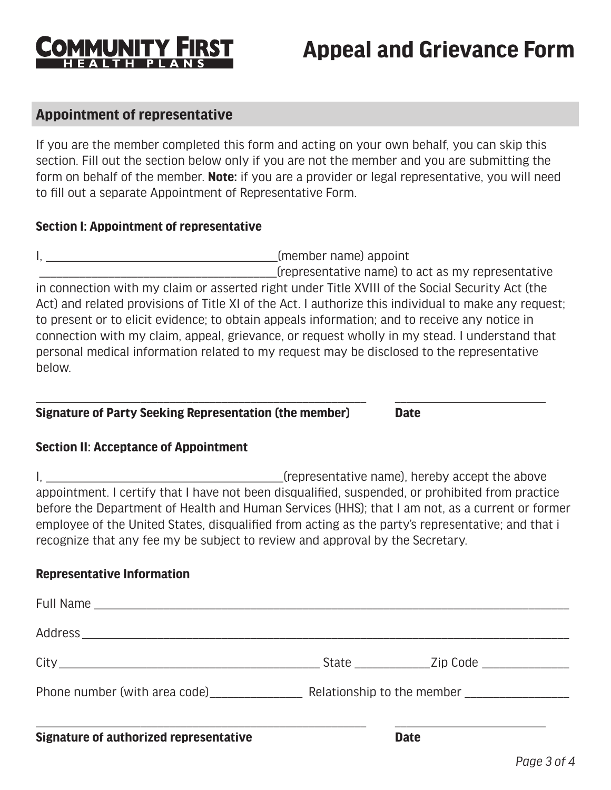

# **Appeal and Grievance Form**

### **Appointment of representative**

If you are the member completed this form and acting on your own behalf, you can skip this section. Fill out the section below only if you are not the member and you are submitting the form on behalf of the member. **Note:** if you are a provider or legal representative, you will need to fill out a separate Appointment of Representative Form.

#### **Section I: Appointment of representative**

I, the contract of the contract of the contract of the contract of the contract of the contract of the contract of the contract of the contract of the contract of the contract of the contract of the contract of the contrac \_\_\_\_\_\_\_\_\_\_\_\_\_\_\_\_\_\_\_\_\_\_\_\_\_\_\_\_\_\_\_\_\_\_\_\_\_\_\_\_\_(representative name) to act as my representative in connection with my claim or asserted right under Title XVIII of the Social Security Act (the Act) and related provisions of Title XI of the Act. I authorize this individual to make any request; to present or to elicit evidence; to obtain appeals information; and to receive any notice in connection with my claim, appeal, grievance, or request wholly in my stead. I understand that personal medical information related to my request may be disclosed to the representative below.

\_\_\_\_\_\_\_\_\_\_\_\_\_\_\_\_\_\_\_\_\_\_\_\_\_\_\_\_\_\_\_\_\_\_\_\_\_\_\_\_\_\_\_\_\_\_\_\_\_\_\_\_\_\_\_\_\_ \_\_\_\_\_\_\_\_\_\_\_\_\_\_\_\_\_\_\_\_\_\_\_\_\_\_

#### **Signature of Party Seeking Representation (the member) Date**

#### **Section II: Acceptance of Appointment**

I, \_\_\_\_\_\_\_\_\_\_\_\_\_\_\_\_\_\_\_\_\_\_\_\_\_\_\_\_\_\_\_\_\_\_\_\_\_\_\_\_\_(representative name), hereby accept the above appointment. I certify that I have not been disqualified, suspended, or prohibited from practice before the Department of Health and Human Services (HHS); that I am not, as a current or former employee of the United States, disqualified from acting as the party's representative; and that i recognize that any fee my be subject to review and approval by the Secretary.

#### **Representative Information**

| At an experience of contracting the contract of a state of the state of the state of the state of the state of |  |  |
|----------------------------------------------------------------------------------------------------------------|--|--|